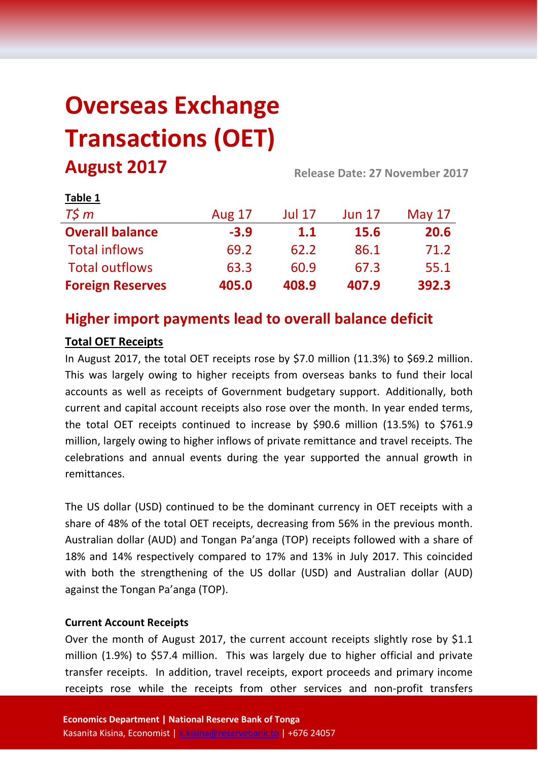# **Overseas Exchange Transactions (OET) August 2017 Release Date: 27 November <sup>2017</sup>**

| $1001C +$               |               |               |               |          |  |
|-------------------------|---------------|---------------|---------------|----------|--|
| $T\zeta m$              | <b>Aug 17</b> | <b>Jul 17</b> | <b>Jun 17</b> | May $17$ |  |
| <b>Overall balance</b>  | $-3.9$        | 1.1           | <b>15.6</b>   | 20.6     |  |
| <b>Total inflows</b>    | 69.2          | 62.2          | 86.1          | 71.2     |  |
| <b>Total outflows</b>   | 63.3          | 60.9          | 67.3          | 55.1     |  |
| <b>Foreign Reserves</b> | 405.0         | 408.9         | 407.9         | 392.3    |  |

# **Higher import payments lead to overall balance deficit**

### **Total OET Receipts**

**Table 1**

In August 2017, the total OET receipts rose by \$7.0 million (11.3%) to \$69.2 million. This was largely owing to higher receipts from overseas banks to fund their local accounts as well as receipts of Government budgetary support. Additionally, both current and capital account receipts also rose over the month. In year ended terms, the total OET receipts continued to increase by \$90.6 million (13.5%) to \$761.9 million, largely owing to higher inflows of private remittance and travel receipts. The celebrations and annual events during the year supported the annual growth in remittances.

The US dollar (USD) continued to be the dominant currency in OET receipts with a share of 48% of the total OET receipts, decreasing from 56% in the previous month. Australian dollar (AUD) and Tongan Pa'anga (TOP) receipts followed with a share of 18% and 14% respectively compared to 17% and 13% in July 2017. This coincided with both the strengthening of the US dollar (USD) and Australian dollar (AUD) against the Tongan Pa'anga (TOP).

#### **Current Account Receipts**

Over the month of August 2017, the current account receipts slightly rose by \$1.1 million (1.9%) to \$57.4 million. This was largely due to higher official and private transfer receipts. In addition, travel receipts, export proceeds and primary income receipts rose while the receipts from other services and non-profit transfers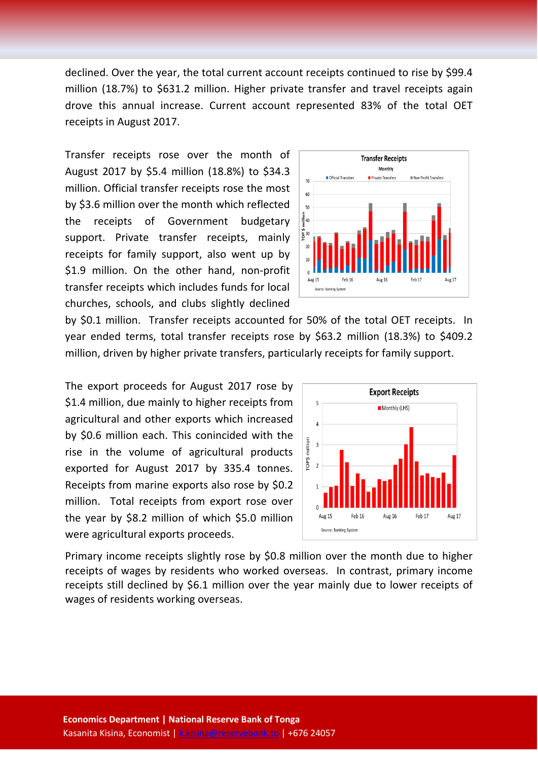declined. Over the year, the total current account receipts continued to rise by \$99.4 million (18.7%) to \$631.2 million. Higher private transfer and travel receipts again drove this annual increase. Current account represented 83% of the total OET receipts in August 2017.

Transfer receipts rose over the month of August 2017 by \$5.4 million (18.8%) to \$34.3 million. Official transfer receipts rose the most by \$3.6 million over the month which reflected the receipts of Government budgetary support. Private transfer receipts, mainly receipts for family support, also went up by \$1.9 million. On the other hand, non-profit transfer receipts which includes funds for local churches, schools, and clubs slightly declined



by \$0.1 million. Transfer receipts accounted for 50% of the total OET receipts. In year ended terms, total transfer receipts rose by \$63.2 million (18.3%) to \$409.2 million, driven by higher private transfers, particularly receipts for family support.

The export proceeds for August 2017 rose by \$1.4 million, due mainly to higher receipts from agricultural and other exports which increased by \$0.6 million each. This conincided with the rise in the volume of agricultural products exported for August 2017 by 335.4 tonnes. Receipts from marine exports also rose by \$0.2 million. Total receipts from export rose over the year by \$8.2 million of which \$5.0 million were agricultural exports proceeds.



Primary income receipts slightly rose by \$0.8 million over the month due to higher receipts of wages by residents who worked overseas. In contrast, primary income receipts still declined by \$6.1 million over the year mainly due to lower receipts of wages of residents working overseas.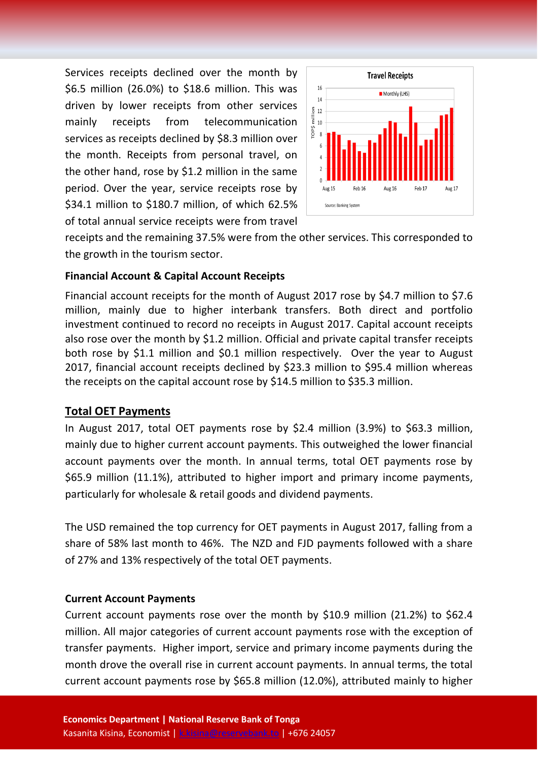Services receipts declined over the month by \$6.5 million (26.0%) to \$18.6 million. This was driven by lower receipts from other services mainly receipts from telecommunication services as receipts declined by \$8.3 million over the month. Receipts from personal travel, on the other hand, rose by \$1.2 million in the same period. Over the year, service receipts rose by \$34.1 million to \$180.7 million, of which 62.5% of total annual service receipts were from travel



receipts and the remaining 37.5% were from the other services. This corresponded to the growth in the tourism sector.

#### **Financial Account & Capital Account Receipts**

Financial account receipts for the month of August 2017 rose by \$4.7 million to \$7.6 million, mainly due to higher interbank transfers. Both direct and portfolio investment continued to record no receipts in August 2017. Capital account receipts also rose over the month by \$1.2 million. Official and private capital transfer receipts both rose by \$1.1 million and \$0.1 million respectively. Over the year to August 2017, financial account receipts declined by \$23.3 million to \$95.4 million whereas the receipts on the capital account rose by \$14.5 million to \$35.3 million.

#### **Total OET Payments**

In August 2017, total OET payments rose by \$2.4 million (3.9%) to \$63.3 million, mainly due to higher current account payments. This outweighed the lower financial account payments over the month. In annual terms, total OET payments rose by \$65.9 million (11.1%), attributed to higher import and primary income payments, particularly for wholesale & retail goods and dividend payments.

The USD remained the top currency for OET payments in August 2017, falling from a share of 58% last month to 46%. The NZD and FJD payments followed with a share of 27% and 13% respectively of the total OET payments.

#### **Current Account Payments**

Current account payments rose over the month by \$10.9 million (21.2%) to \$62.4 million. All major categories of current account payments rose with the exception of transfer payments. Higher import, service and primary income payments during the month drove the overall rise in current account payments. In annual terms, the total current account payments rose by \$65.8 million (12.0%), attributed mainly to higher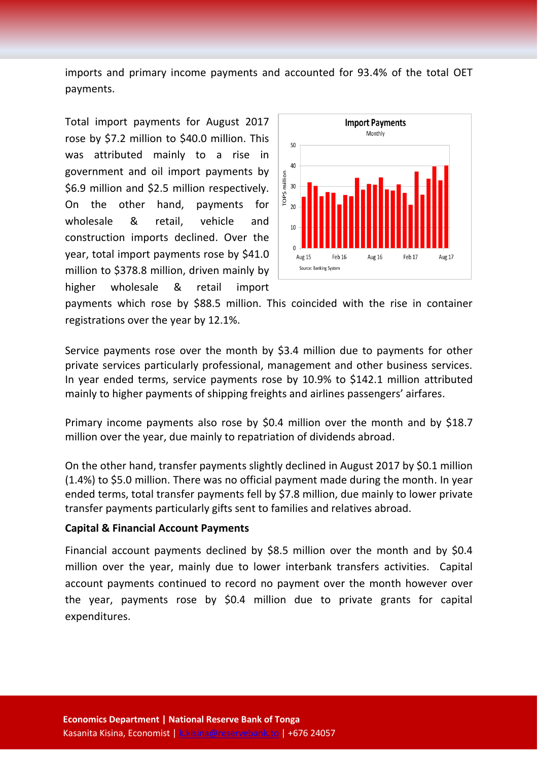imports and primary income payments and accounted for 93.4% of the total OET payments.

Total import payments for August 2017 rose by \$7.2 million to \$40.0 million. This was attributed mainly to a rise in government and oil import payments by \$6.9 million and \$2.5 million respectively. On the other hand, payments for wholesale & retail, vehicle and construction imports declined. Over the year, total import payments rose by \$41.0 million to \$378.8 million, driven mainly by higher wholesale & retail import



payments which rose by \$88.5 million. This coincided with the rise in container registrations over the year by 12.1%.

Service payments rose over the month by \$3.4 million due to payments for other private services particularly professional, management and other business services. In year ended terms, service payments rose by 10.9% to \$142.1 million attributed mainly to higher payments of shipping freights and airlines passengers' airfares.

Primary income payments also rose by \$0.4 million over the month and by \$18.7 million over the year, due mainly to repatriation of dividends abroad.

On the other hand, transfer payments slightly declined in August 2017 by \$0.1 million (1.4%) to \$5.0 million. There was no official payment made during the month. In year ended terms, total transfer payments fell by \$7.8 million, due mainly to lower private transfer payments particularly gifts sent to families and relatives abroad.

#### **Capital & Financial Account Payments**

Financial account payments declined by \$8.5 million over the month and by \$0.4 million over the year, mainly due to lower interbank transfers activities. Capital account payments continued to record no payment over the month however over the year, payments rose by \$0.4 million due to private grants for capital expenditures.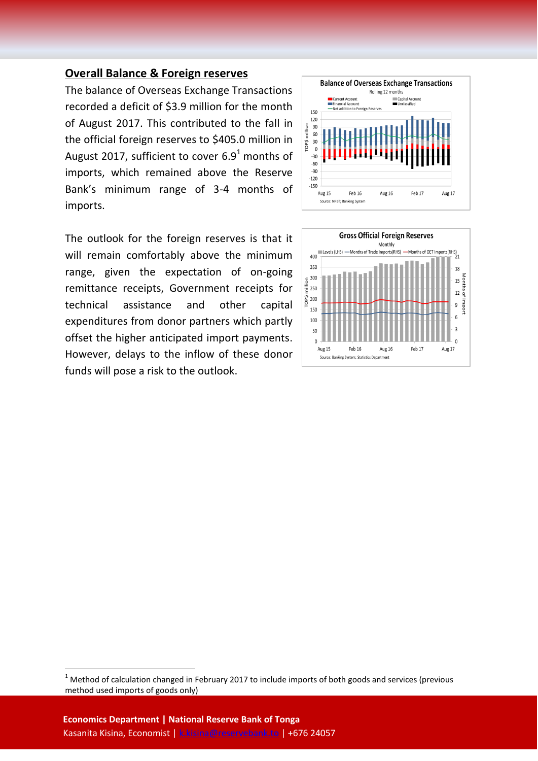#### **Overall Balance & Foreign reserves**

The balance of Overseas Exchange Transactions recorded a deficit of \$3.9 million for the month of August 2017. This contributed to the fall in the official foreign reserves to \$405.0 million in August 2017, sufficient to cover  $6.9<sup>1</sup>$  months of imports, which remained above the Reserve Bank's minimum range of 3-4 months of imports.

The outlook for the foreign reserves is that it will remain comfortably above the minimum range, given the expectation of on-going remittance receipts, Government receipts for technical assistance and other capital expenditures from donor partners which partly offset the higher anticipated import payments. However, delays to the inflow of these donor funds will pose a risk to the outlook.





**.** 

 $1$  Method of calculation changed in February 2017 to include imports of both goods and services (previous method used imports of goods only)